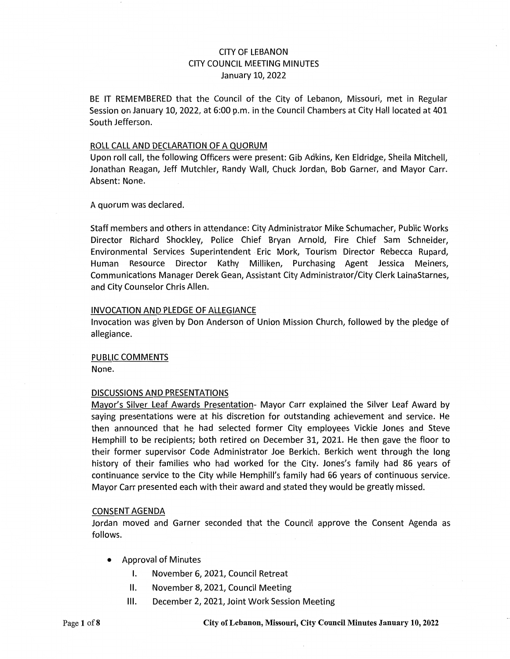### CITY OF LEBANON CITY COUNCIL MEETING MINUTES January 10, 2022

BE IT REMEMBERED that the Council of the City of Lebanon, Missouri, met in Regular Session on January 10, 2022, at 6:00 p.m. in the Council Chambers at City Hall located at 401 South Jefferson.

#### ROLL CALL AND DECLARATION OF A QUORUM

Upon roll call, the following Officers were present: Gib Adkins, Ken Eldridge, Sheila Mitchell, Jonathan Reagan, Jeff Mutchler, Randy Wall, Chuck Jordan, Bob Garner, and Mayor Carr. Absent: None.

A quorum was declared.

Staff members and others in attendance: City Administrator Mike Schumacher, Public Works Director Richard Shockley, Police Chief Bryan Arnold, Fire Chief Sam Schneider, Environmental Services Superintendent Eric Mork, Tourism Director Rebecca Rupard, Human Resource Director Kathy Milliken, Purchasing Agent Jessica Meiners, Communications Manager Derek Gean, Assistant City Administrator/City Clerk LainaStarnes, and City Counselor Chris Allen.

### INVOCATION AND PLEDGE OF ALLEGIANCE

Invocation was given by Don Anderson of Union Mission Church, followed by the pledge of allegiance.

#### PUBLIC COMMENTS

None.

### DISCUSSIONS AND PRESENTATIONS

Mayor's Silver Leaf Awards Presentation- Mayor Carr explained the Silver Leaf Award by saying presentations were at his discretion for outstanding achievement and service. He then announced that he had selected former City employees Vickie Jones and Steve Hemphill to be recipients; both retired on December 31, 2021. He then gave the floor to their former supervisor Code Administrator Joe Berkich. Berkich went through the long history of their families who had worked for the City. Jones's family had 86 years of continuance service to the City while Hemphill's family had 66 years of continuous service. Mayor Carr presented each with their award and stated they would be greatly missed.

### CONSENT AGENDA

Jordan moved and Garner seconded that the Council approve the Consent Agenda as follows.

- Approval of Minutes
	- I. November 6, 2021, Council Retreat
	- 11. November 8, 2021, Council Meeting
	- 111. December 2, 2021, Joint Work Session Meeting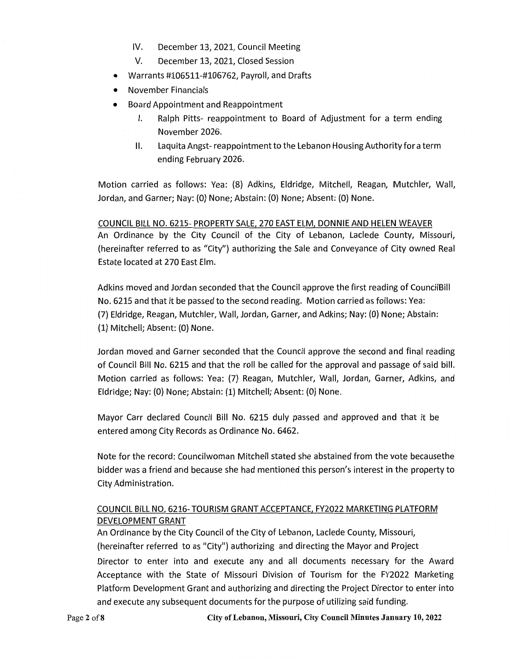- IV. December 13, 2021, Council Meeting
- V. December 13, 2021, Closed Session
- Warrants #106511-#106762, Payroll, and Drafts
- November Financials
- Board Appointment and Reappointment
	- I. Ralph Pitts- reappointment to Board of Adjustment for a term ending November 2026.
	- II. Laquita Angst- reappointment to the Lebanon Housing Authority for a term ending February 2026.

Motion carried as follows: Yea: (8) Adkins, Eldridge, Mitchell, Reagan, Mutchler, Wall, Jordan, and Garner; Nay: (0) None; Abstain: (0) None; Absent: (0) None.

COUNCIL BILL NO. 6215- PROPERTY SALE, 270 EAST ELM, DONNIE AND HELEN WEAVER An Ordinance by the City Council of the City of Lebanon, Laclede County, Missouri, (hereinafter referred to as "City") authorizing the Sale and Conveyance of City owned Real Estate located at 270 East Elm.

Adkins moved and Jordan seconded that the Council approve the first reading of CouncilBill No. 6215 and that it be passed to the second reading. Motion carried as follows: Yea: (7) Eldridge, Reagan, Mutchler, Wall, Jordan, Garner, and Adkins; Nay: (0) None; Abstain: (1) Mitchell; Absent: (0) None.

Jordan moved and Garner seconded that the Council approve the second and final reading of Council Bill No. 6215 and that the roll be called for the approval and passage of said bill. Motion carried as follows: Yea: (7) Reagan, Mutchler, Wall, Jordan, Garner, Adkins, and Eldridge; Nay: (0) None; Abstain: (1) Mitchell; Absent: (0) None.

Mayor Carr declared Council Bill No. 6215 duly passed and approved and that it be entered among City Records as Ordinance No. 6462.

Note for the record: Councilwoman Mitchell stated she abstained from the vote becausethe bidder was a friend and because she had mentioned this person's interest in the property to City Administration.

# COUNCIL BILL NO. 6216- TOURISM GRANT ACCEPTANCE, FY2022 MARKETING PLATFORM DEVELOPMENT GRANT

An Ordinance by the City Council of the City of Lebanon, Laclede County, Missouri, (hereinafter referred to as "City") authorizing and directing the Mayor and Project

Director to enter into and execute any and all documents necessary for the Award Acceptance with the State of Missouri Division of Tourism for the FY2022 Marketing Platform Development Grant and authorizing and directing the Project Director to enter into and execute any subsequent documents for the purpose of utilizing said funding.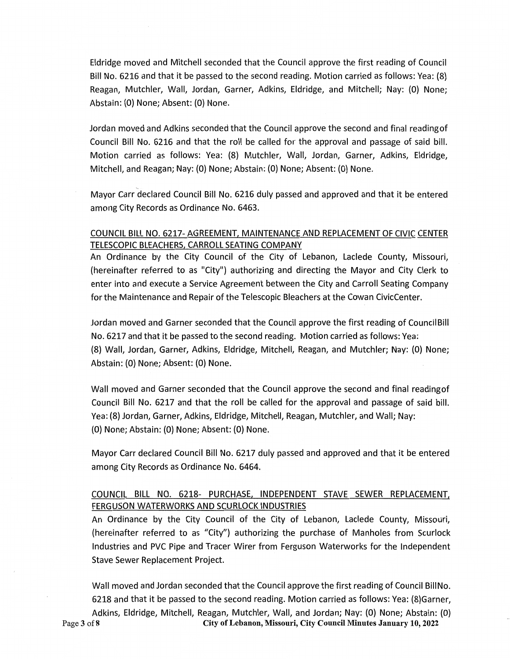Eldridge moved and Mitchell seconded that the Council approve the first reading of Council Bill No. 6216 and that it be passed to the second reading. Motion carried as follows: Yea: {8) Reagan, Mutchler, Wall, Jordan, Garner, Adkins, Eldridge, and Mitchell; Nay: (0) None; Abstain: (0) None; Absent: (O) None.

Jordan moved and Adkins seconded that the Council approve the second and final readingof Council Bill No. 6216 and that the roll be called for the approval and passage of said bill. Motion carried as follows: Yea: {8) Mutchler, Wall, Jordan, Garner, Adkins, Eldridge, Mitchell, and Reagan; Nay: {0) None; Abstain: (0) None; Absent: {0) None.

Mayor Carr declared Council Bill No. 6216 duly passed and approved and that it be entered among City Records as Ordinance No. 6463.

## COUNCIL BILL NO. 6217-AGREEMENT, MAINTENANCE AND REPLACEMENT OF CIVIC CENTER TELESCOPIC BLEACHERS, CARROLL SEATING COMPANY

An Ordinance by the City Council of the City of Lebanon, Laclede County, Missouri, (hereinafter referred to as "City") authorizing and directing the Mayor and City Clerk to enter into and execute a Service Agreement between the City and Carroll Seating Company for the Maintenance and Repair of the Telescopic Bleachers at the Cowan CivicCenter.

Jordan moved and Garner seconded that the Council approve the first reading of Council Bill No. 6217 and that it be passed to the second reading. Motion carried as follows: Yea: {8) Wall, Jordan, Garner, Adkins, Eldridge, Mitchell, Reagan, and Mutchler; Nay: (0) None; Abstain: (0) None; Absent: (0) None.

Wall moved and Garner seconded that the Council approve the second and final readingof Council Bill No. 6217 and that the roll be called for the approval and passage of said bill. Yea: {8) Jordan, Garner, Adkins, Eldridge, Mitchell, Reagan, Mutchler, and Wall; Nay: (O) None; Abstain: {0) None; Absent: {0) None.

Mayor Carr declared Council Bill No. 6217 duly passed and approved and that it be entered among City Records as Ordinance No. 6464.

# COUNCIL BILL NO. 6218- PURCHASE, INDEPENDENT STAVE SEWER REPLACEMENT, FERGUSON WATERWORKS AND SCURLOCK INDUSTRIES

An Ordinance by the City Council of the City of Lebanon, Laclede County, Missouri, (hereinafter referred to as "City") authorizing the purchase of Manholes from Scurlock Industries and PVC Pipe and Tracer Wirer from Ferguson Waterworks for the Independent Stave Sewer Replacement Project.

Wall moved and Jordan seconded that the Council approve the first reading of Council Bill No. 6218 and that it be passed to the second reading. Motion carried as follows: Yea: {8)Garner, Adkins, Eldridge, Mitchell, Reagan, Mutchler, Wall, and Jordan; Nay: {0) None; Abstain: {0) Page 3 of8 City of Lebanon, Missouri, City Council Minutes January 10, 2022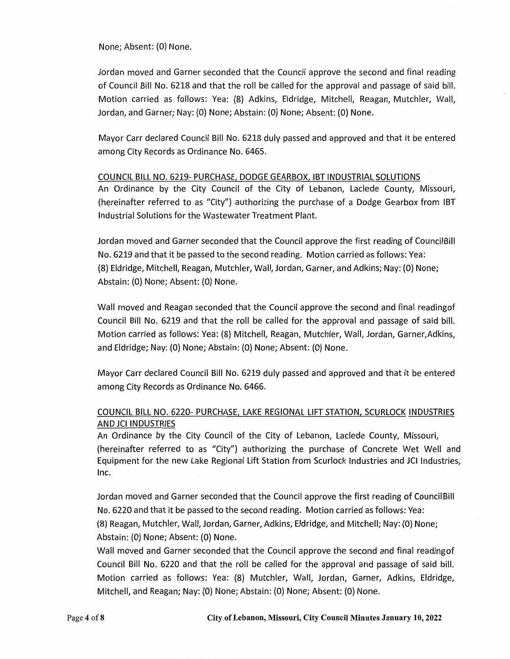None; Absent: (0) None.

Jordan moved and Garner seconded that the Council approve the second and final reading of Council Bill No. 6218 and that the roll be called for the approval and passage of said bill. Motion carried as follows: Yea: (8) Adkins, Eldridge, Mitchell, Reagan, Mutchler, Wall, Jordan, and Garner; Nay: (0) None; Abstain: (0) None; Absent: (0) None.

Mayor Carr declared Council Bill No. 6218 duly passed and approved and that it be entered among City Records as Ordinance No. 6465.

### COUNCIL BILL NO. 6219- PURCHASE, DODGE GEARBOX, IBT INDUSTRIAL SOLUTIONS

An Ordinance by the City Council of the City of Lebanon, Laclede County, Missouri, (hereinafter referred to as "City") authorizing the purchase of a Dodge Gearbox from IBT Industrial Solutions for the Wastewater Treatment Plant.

Jordan moved and Garner seconded that the Council approve the first reading of Council Bill No. 6219 and that it be passed to the second reading. Motion carried as follows: Yea: (8) Eldridge, Mitchell, Reagan, Mutchler, Wall, Jordan, Garner, and Adkins; Nay: (0) None; Abstain: (0) None; Absent: (0) None.

Wall moved and Reagan seconded that the Council approve the second and final readingof Council Bill No. 6219 and that the roll be called for the approval and passage of said bill. Motion carried as follows: Yea: (8) Mitchell, Reagan, Mutchler, Wall, Jordan, Garner,Adkins, and Eldridge; Nay: {0) None; Abstain: (0) None; Absent: (0) None.

Mayor Carr declared Council Bill No. 6219 duly passed and approved and that it be entered among City Records as Ordinance No. 6466.

## COUNCIL BILL NO. 6220- PURCHASE, LAKE REGIONAL LIFT STATION, SCURLOCK INDUSTRIES AND JCI INDUSTRIES

An Ordinance by the City Council of the City of Lebanon, Laclede County, Missouri, (hereinafter referred to as "City") authorizing the purchase of Concrete Wet Well and Equipment for the new Lake Regional Lift Station from Scurlock Industries and JCI Industries, Inc.

Jordan moved and Garner seconded that the Council approve the first reading of Council Bill No. 6220 and that it be passed to the second reading. Motion carried as follows: Yea: (8) Reagan, Mutchler, Wall, Jordan, Garner, Adkins, Eldridge, and Mitchell; Nay: (0) None; Abstain: (0) None; Absent: (0) None.

Wall moved and Garner seconded that the Council approve the second and final readingof Council Bill No. 6220 and that the roll be called for the approval and passage of said bill. Motion carried as follows: Yea: (8) Mutchler, Wall, Jordan, Garner, Adkins, Eldridge, Mitchell, and Reagan; Nay: (0) None; Abstain: (0) None; Absent: (0) None.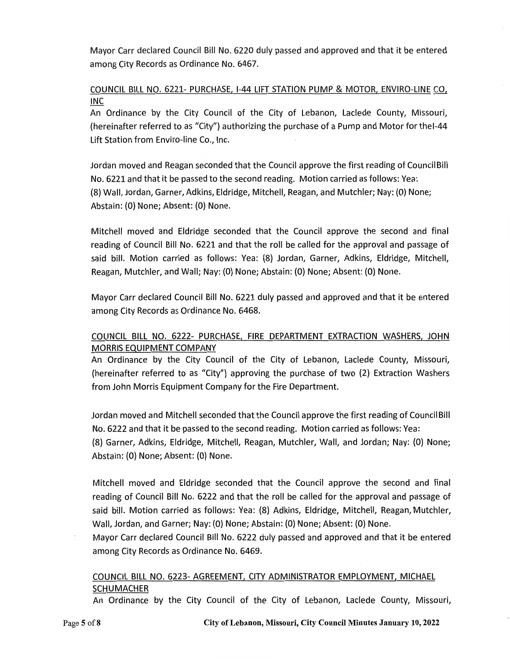Mayor Carr declared Council Bill No. 6220 duly passed and approved and that it be entered among City Records as Ordinance No. 6467.

## COUNCIL BILL NO. 6221- PURCHASE, 1-44 LIFT STATION PUMP & MOTOR, ENVIRO-LINE CO, INC

An Ordinance by the City Council of the City of Lebanon, Laclede County, Missouri, (hereinafter referred to as "City") authorizing the purchase of a Pump and Motor for thel-44 Lift Station from Enviro-line Co., Inc.

Jordan moved and Reagan seconded that the Council approve the first reading of Council Bill No. 6221 and that it be passed to the second reading. Motion carried as follows: Yea: (8) Wall, Jordan, Garner, Adkins, Eldridge, Mitchell, Reagan, and Mutchler; Nay: (0) None; Abstain: (0) None; Absent: (0) None.

Mitchell moved and Eldridge seconded that the Council approve the second and final reading of Council Bill No. 6221 and that the roll be called for the approval and passage of said bill. Motion carried as follows: Yea: (8) Jordan, Garner, Adkins, Eldridge, Mitchell, Reagan, Mutchler, and Wall; Nay: (0) None; Abstain: (0) None; Absent: (0) None.

Mayor Carr declared Council Bill No. 6221 duly passed and approved and that it be entered among City Records as Ordinance No. 6468.

## COUNCIL BILL NO. 6222- PURCHASE, FIRE DEPARTMENT EXTRACTION WASHERS, JOHN MORRIS EQUIPMENT COMPANY

An Ordinance by the City Council of the City of Lebanon, Laclede County, Missouri, (hereinafter referred to as "City") approving the purchase of two (2) Extraction Washers from John Morris Equipment Company for the Fire Department.

Jordan moved and Mitchell seconded that the Council approve the first reading of Council Bill No. 6222 and that it be passed to the second reading. Motion carried as follows: Yea: (8) Garner, Adkins, Eldridge, Mitchell, Reagan, Mutchler, Wall, and Jordan; Nay: (0) None; Abstain: (0) None; Absent: (0) None.

Mitchell moved and Eldridge seconded that the Council approve the second and final reading of Council Bill No. 6222 and that the roll be called for the approval and passage of said bill. Motion carried as follows: Yea: (8) Adkins, Eldridge, Mitchell, Reagan, Mutchler, Wall, Jordan, and Garner; Nay: (0) None; Abstain: (0) None; Absent: (0) None.

Mayor Carr declared Council Bill No. 6222 duly passed and approved and that it be entered among City Records as Ordinance No. 6469.

## COUNCIL BILL NO. 6223- AGREEMENT, CITY ADMINISTRATOR EMPLOYMENT, MICHAEL **SCHUMACHER**

An Ordinance by the City Council of the City of Lebanon, Laclede County, Missouri,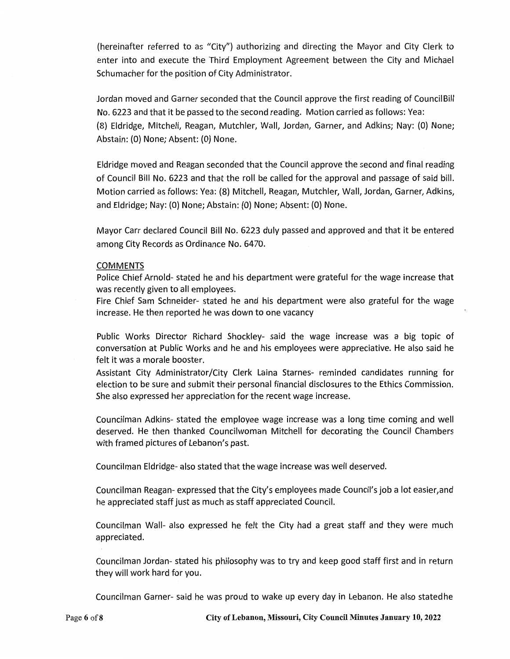(hereinafter referred to as "City") authorizing and directing the Mayor and City Clerk to enter into and execute the Third Employment Agreement between the City and Michael Schumacher for the position of City Administrator.

Jordan moved and Garner seconded that the Council approve the first reading of Council Bill No. 6223 and that it be passed to the second reading. Motion carried as follows: Yea: (8) Eldridge, Mitchell, Reagan, Mutchler, Wall, Jordan, Garner, and Adkins; Nay: (0) None; Abstain: (0) None; Absent: (0) None.

Eldridge moved and Reagan seconded that the Council approve the second and final reading of Council Bill No. 6223 and that the roll be called for the approval and passage of said bill. Motion carried as follows: Yea: (8) Mitchell, Reagan, Mutchler, Wall, Jordan, Garner, Adkins, and Eldridge; Nay: (O) None; Abstain: (0) None; Absent: (0) None.

Mayor Carr declared Council Bill No. 6223 duly passed and approved and that it be entered among City Records as Ordinance No. 6470.

### COMMENTS

Police Chief Arnold- stated he and his department were grateful for the wage increase that was recently given to all employees.

Fire Chief Sam Schneider- stated he and his department were also grateful for the wage increase. He then reported he was down to one vacancy

Public Works Director Richard Shockley- said the wage increase was a big topic of conversation at Public Works and he and his employees were appreciative. He also said he felt it was a morale booster.

Assistant City Administrator/City Clerk Laina Starnes- reminded candidates running for election to be sure and submit their personal financial disclosures to the Ethics Commission. She also expressed her appreciation for the recent wage increase.

Councilman Adkins- stated the employee wage increase was a long time coming and well deserved. He then thanked Councilwoman Mitchell for decorating the Council Chambers with framed pictures of Lebanon's past.

Councilman Eldridge- also stated that the wage increase was well deserved.

Councilman Reagan- expressed that the City's employees made Council's job a lot easier,and he appreciated staff just as much as staff appreciated Council.

Councilman Wall- also expressed he felt the City had a great staff and they were much appreciated.

Councilman Jordan- stated his philosophy was to try and keep good staff first and in return they will work hard for you.

Councilman Garner- said he was proud to wake up every day in Lebanon. He also statedhe